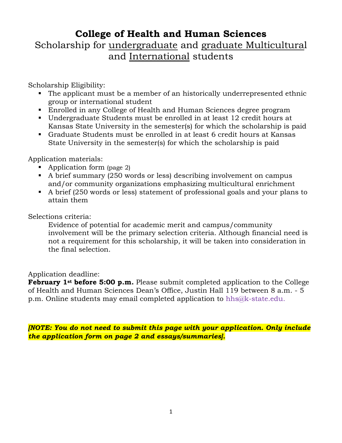## **College of Health and Human Sciences**

Scholarship for undergraduate and graduate Multicultural and International students

Scholarship Eligibility:

- The applicant must be a member of an historically underrepresented ethnic group or international student
- Enrolled in any College of Health and Human Sciences degree program
- Undergraduate Students must be enrolled in at least 12 credit hours at Kansas State University in the semester(s) for which the scholarship is paid
- Graduate Students must be enrolled in at least 6 credit hours at Kansas State University in the semester(s) for which the scholarship is paid

Application materials:

- Application form (page 2)
- A brief summary (250 words or less) describing involvement on campus and/or community organizations emphasizing multicultural enrichment
- A brief (250 words or less) statement of professional goals and your plans to attain them

Selections criteria:

Evidence of potential for academic merit and campus/community involvement will be the primary selection criteria. Although financial need is not a requirement for this scholarship, it will be taken into consideration in the final selection.

## Application deadline:

**February 1st before 5:00 p.m.** Please submit completed application to the College of Health and Human Sciences Dean's Office, Justin Hall 119 between 8 a.m. - 5 p.m. Online students may email completed application to hh[s@k-state.edu.](mailto:madai@k-state.edu)

*[NOTE: You do not need to submit this page with your application. Only include the application form on page 2 and essays/summaries].*